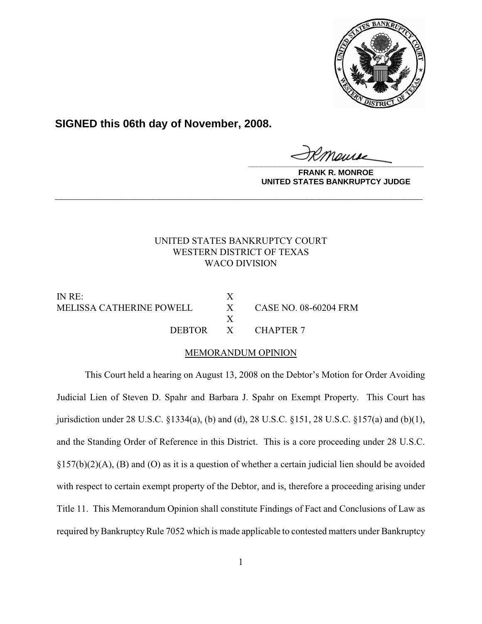

**SIGNED this 06th day of November, 2008.**

**\_\_\_\_\_\_\_\_\_\_\_\_\_\_\_\_\_\_\_\_\_\_\_\_\_\_\_\_\_\_\_\_\_\_\_\_\_\_\_\_**

**FRANK R. MONROE UNITED STATES BANKRUPTCY JUDGE**

# UNITED STATES BANKRUPTCY COURT WESTERN DISTRICT OF TEXAS WACO DIVISION

**\_\_\_\_\_\_\_\_\_\_\_\_\_\_\_\_\_\_\_\_\_\_\_\_\_\_\_\_\_\_\_\_\_\_\_\_\_\_\_\_\_\_\_\_\_\_\_\_\_\_\_\_\_\_\_\_\_\_\_\_**

IN RE: X MELISSA CATHERINE POWELL X CASE NO. 08-60204 FRM

X DEBTOR X CHAPTER 7

# MEMORANDUM OPINION

This Court held a hearing on August 13, 2008 on the Debtor's Motion for Order Avoiding Judicial Lien of Steven D. Spahr and Barbara J. Spahr on Exempt Property. This Court has jurisdiction under 28 U.S.C. §1334(a), (b) and (d), 28 U.S.C. §151, 28 U.S.C. §157(a) and (b)(1), and the Standing Order of Reference in this District. This is a core proceeding under 28 U.S.C. §157(b)(2)(A), (B) and (O) as it is a question of whether a certain judicial lien should be avoided with respect to certain exempt property of the Debtor, and is, therefore a proceeding arising under Title 11. This Memorandum Opinion shall constitute Findings of Fact and Conclusions of Law as required by Bankruptcy Rule 7052 which is made applicable to contested matters under Bankruptcy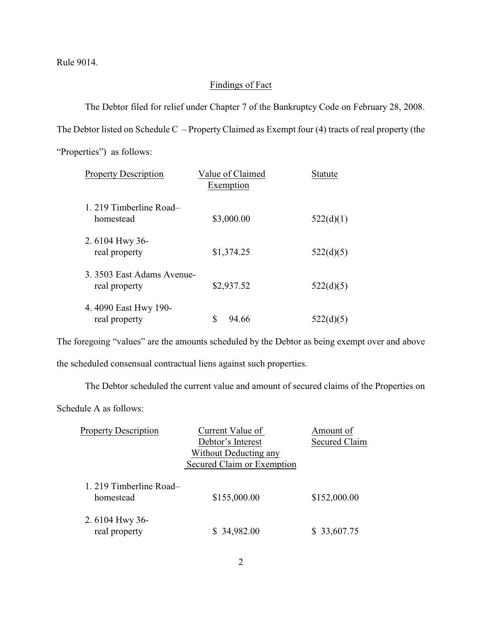Rule 9014.

# Findings of Fact

The Debtor filed for relief under Chapter 7 of the Bankruptcy Code on February 28, 2008.

The Debtor listed on Schedule C – PropertyClaimed as Exempt four (4) tracts of real property (the

"Properties") as follows:

| <b>Property Description</b>                 | Value of Claimed<br>Exemption | <b>Statute</b> |
|---------------------------------------------|-------------------------------|----------------|
| 1. 219 Timberline Road-<br>homestead        | \$3,000.00                    | 522(d)(1)      |
| 2.6104 Hwy 36-<br>real property             | \$1,374.25                    | 522(d)(5)      |
| 3. 3503 East Adams Avenue-<br>real property | \$2,937.52                    | 522(d)(5)      |
| 4.4090 East Hwy 190-<br>real property       | S<br>94.66                    | 522(d)(5)      |

The foregoing "values" are the amounts scheduled by the Debtor as being exempt over and above the scheduled consensual contractual liens against such properties.

The Debtor scheduled the current value and amount of secured claims of the Properties on

Schedule A as follows:

| <b>Property Description</b>          | Current Value of           | Amount of            |
|--------------------------------------|----------------------------|----------------------|
|                                      | Debtor's Interest          | <b>Secured Claim</b> |
|                                      | Without Deducting any      |                      |
|                                      | Secured Claim or Exemption |                      |
| 1. 219 Timberline Road-<br>homestead | \$155,000.00               | \$152,000.00         |
| 2.6104 Hwy 36-                       |                            |                      |
| real property                        | \$34,982.00                | \$ 33,607.75         |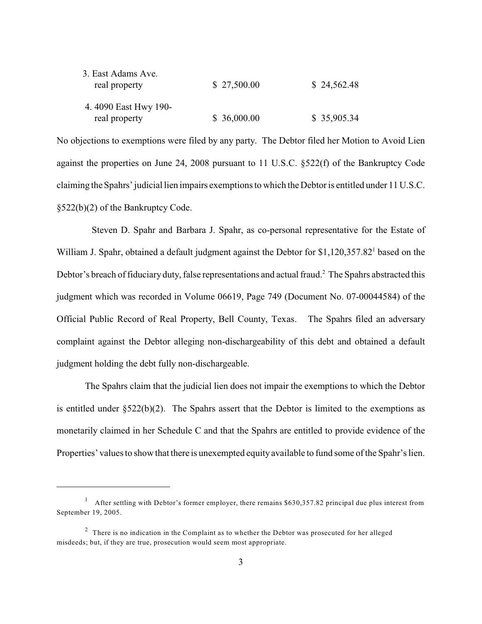| 3. East Adams Ave.<br>real property   | \$27,500.00 | \$24,562.48 |
|---------------------------------------|-------------|-------------|
| 4.4090 East Hwy 190-<br>real property | \$36,000.00 | \$35,905.34 |

No objections to exemptions were filed by any party. The Debtor filed her Motion to Avoid Lien against the properties on June 24, 2008 pursuant to 11 U.S.C. §522(f) of the Bankruptcy Code claiming the Spahrs' judicial lien impairs exemptions to which the Debtor is entitled under 11 U.S.C. §522(b)(2) of the Bankruptcy Code.

 Steven D. Spahr and Barbara J. Spahr, as co-personal representative for the Estate of William J. Spahr, obtained a default judgment against the Debtor for \$1,120,357.82<sup>1</sup> based on the Debtor's breach of fiduciary duty, false representations and actual fraud.<sup>2</sup> The Spahrs abstracted this judgment which was recorded in Volume 06619, Page 749 (Document No. 07-00044584) of the Official Public Record of Real Property, Bell County, Texas. The Spahrs filed an adversary complaint against the Debtor alleging non-dischargeability of this debt and obtained a default judgment holding the debt fully non-dischargeable.

The Spahrs claim that the judicial lien does not impair the exemptions to which the Debtor is entitled under  $\S 522(b)(2)$ . The Spahrs assert that the Debtor is limited to the exemptions as monetarily claimed in her Schedule C and that the Spahrs are entitled to provide evidence of the Properties' values to showthat there is unexempted equity available to fund some of the Spahr's lien.

<sup>&</sup>lt;sup>1</sup> After settling with Debtor's former employer, there remains \$630,357.82 principal due plus interest from September 19, 2005.

 $2$  There is no indication in the Complaint as to whether the Debtor was prosecuted for her alleged misdeeds; but, if they are true, prosecution would seem most appropriate.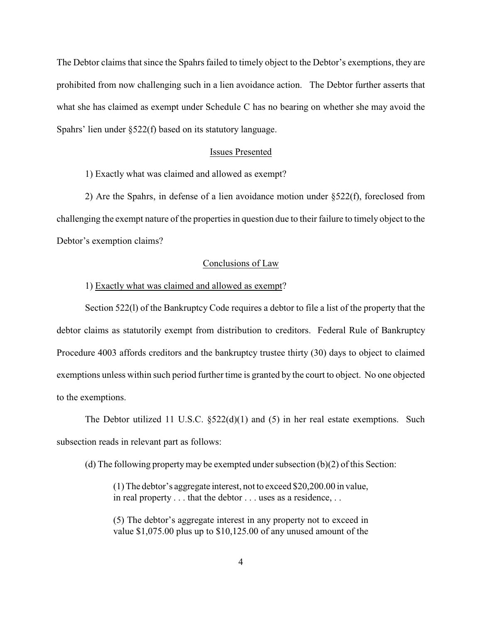The Debtor claims that since the Spahrs failed to timely object to the Debtor's exemptions, they are prohibited from now challenging such in a lien avoidance action. The Debtor further asserts that what she has claimed as exempt under Schedule C has no bearing on whether she may avoid the Spahrs' lien under §522(f) based on its statutory language.

### Issues Presented

1) Exactly what was claimed and allowed as exempt?

2) Are the Spahrs, in defense of a lien avoidance motion under §522(f), foreclosed from challenging the exempt nature of the properties in question due to their failure to timely object to the Debtor's exemption claims?

## Conclusions of Law

# 1) Exactly what was claimed and allowed as exempt?

Section 522(l) of the Bankruptcy Code requires a debtor to file a list of the property that the debtor claims as statutorily exempt from distribution to creditors. Federal Rule of Bankruptcy Procedure 4003 affords creditors and the bankruptcy trustee thirty (30) days to object to claimed exemptions unless within such period further time is granted by the court to object. No one objected to the exemptions.

The Debtor utilized 11 U.S.C. §522(d)(1) and (5) in her real estate exemptions. Such subsection reads in relevant part as follows:

(d) The following property may be exempted under subsection (b)(2) of this Section:

(1) The debtor's aggregate interest, not to exceed \$20,200.00 in value, in real property . . . that the debtor . . . uses as a residence, . .

(5) The debtor's aggregate interest in any property not to exceed in value \$1,075.00 plus up to \$10,125.00 of any unused amount of the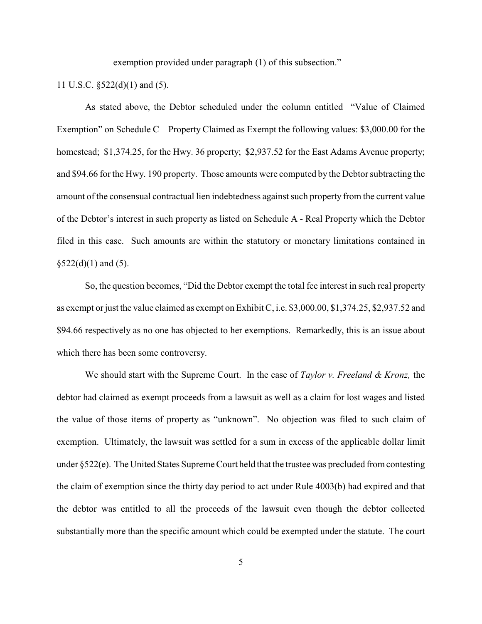exemption provided under paragraph (1) of this subsection."

11 U.S.C. §522(d)(1) and (5).

As stated above, the Debtor scheduled under the column entitled "Value of Claimed Exemption" on Schedule C – Property Claimed as Exempt the following values: \$3,000.00 for the homestead; \$1,374.25, for the Hwy. 36 property; \$2,937.52 for the East Adams Avenue property; and \$94.66 for the Hwy. 190 property. Those amounts were computed by the Debtor subtracting the amount of the consensual contractual lien indebtedness against such property from the current value of the Debtor's interest in such property as listed on Schedule A - Real Property which the Debtor filed in this case. Such amounts are within the statutory or monetary limitations contained in  $$522(d)(1)$  and  $(5)$ .

So, the question becomes, "Did the Debtor exempt the total fee interest in such real property as exempt or just the value claimed as exempt on Exhibit C, i.e. \$3,000.00, \$1,374.25, \$2,937.52 and \$94.66 respectively as no one has objected to her exemptions. Remarkedly, this is an issue about which there has been some controversy.

We should start with the Supreme Court. In the case of *Taylor v. Freeland & Kronz,* the debtor had claimed as exempt proceeds from a lawsuit as well as a claim for lost wages and listed the value of those items of property as "unknown". No objection was filed to such claim of exemption. Ultimately, the lawsuit was settled for a sum in excess of the applicable dollar limit under §522(e). The United States Supreme Court held that the trustee was precluded from contesting the claim of exemption since the thirty day period to act under Rule 4003(b) had expired and that the debtor was entitled to all the proceeds of the lawsuit even though the debtor collected substantially more than the specific amount which could be exempted under the statute. The court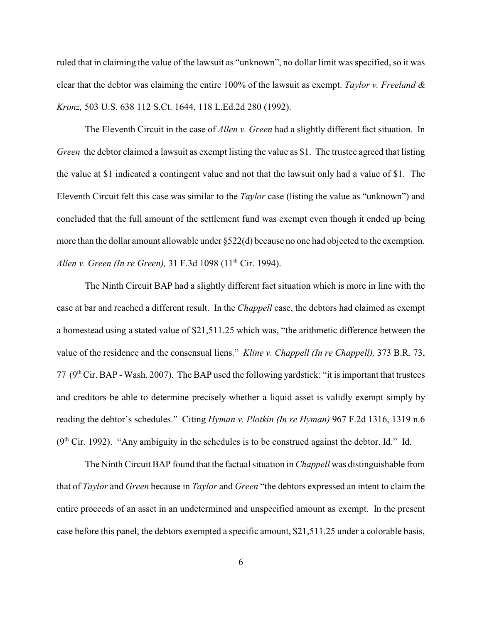ruled that in claiming the value of the lawsuit as "unknown", no dollar limit was specified, so it was clear that the debtor was claiming the entire 100% of the lawsuit as exempt. *Taylor v. Freeland & Kronz,* 503 U.S. 638 112 S.Ct. 1644, 118 L.Ed.2d 280 (1992).

The Eleventh Circuit in the case of *Allen v. Green* had a slightly different fact situation. In *Green* the debtor claimed a lawsuit as exempt listing the value as \$1. The trustee agreed that listing the value at \$1 indicated a contingent value and not that the lawsuit only had a value of \$1. The Eleventh Circuit felt this case was similar to the *Taylor* case (listing the value as "unknown") and concluded that the full amount of the settlement fund was exempt even though it ended up being more than the dollar amount allowable under §522(d) because no one had objected to the exemption. *Allen v. Green (In re Green), 31 F.3d 1098 (11<sup>th</sup> Cir. 1994).* 

The Ninth Circuit BAP had a slightly different fact situation which is more in line with the case at bar and reached a different result. In the *Chappell* case, the debtors had claimed as exempt a homestead using a stated value of \$21,511.25 which was, "the arithmetic difference between the value of the residence and the consensual liens." *Kline v. Chappell (In re Chappell),* 373 B.R. 73, 77 ( $9<sup>th</sup> Cir. BAP - Wash. 2007$ ). The BAP used the following yardstick: "it is important that trustees and creditors be able to determine precisely whether a liquid asset is validly exempt simply by reading the debtor's schedules." Citing *Hyman v. Plotkin (In re Hyman)* 967 F.2d 1316, 1319 n.6  $(9<sup>th</sup> Cir. 1992)$ . "Any ambiguity in the schedules is to be construed against the debtor. Id." Id.

The Ninth Circuit BAP found that the factual situation in *Chappell* was distinguishable from that of *Taylor* and *Green* because in *Taylor* and *Green* "the debtors expressed an intent to claim the entire proceeds of an asset in an undetermined and unspecified amount as exempt. In the present case before this panel, the debtors exempted a specific amount, \$21,511.25 under a colorable basis,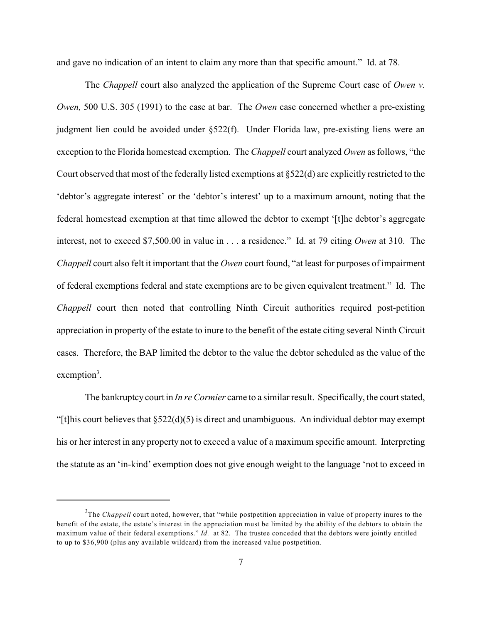and gave no indication of an intent to claim any more than that specific amount." Id. at 78.

The *Chappell* court also analyzed the application of the Supreme Court case of *Owen v. Owen,* 500 U.S. 305 (1991) to the case at bar. The *Owen* case concerned whether a pre-existing judgment lien could be avoided under §522(f). Under Florida law, pre-existing liens were an exception to the Florida homestead exemption. The *Chappell* court analyzed *Owen* as follows, "the Court observed that most of the federally listed exemptions at §522(d) are explicitly restricted to the 'debtor's aggregate interest' or the 'debtor's interest' up to a maximum amount, noting that the federal homestead exemption at that time allowed the debtor to exempt '[t]he debtor's aggregate interest, not to exceed \$7,500.00 in value in . . . a residence." Id. at 79 citing *Owen* at 310. The *Chappell* court also felt it important that the *Owen* court found, "at least for purposes of impairment of federal exemptions federal and state exemptions are to be given equivalent treatment." Id. The *Chappell* court then noted that controlling Ninth Circuit authorities required post-petition appreciation in property of the estate to inure to the benefit of the estate citing several Ninth Circuit cases. Therefore, the BAP limited the debtor to the value the debtor scheduled as the value of the  $exemption<sup>3</sup>$ .

The bankruptcy court in *In re Cormier* came to a similar result. Specifically, the court stated, "[t]his court believes that §522(d)(5) is direct and unambiguous. An individual debtor may exempt his or her interest in any property not to exceed a value of a maximum specific amount. Interpreting the statute as an 'in-kind' exemption does not give enough weight to the language 'not to exceed in

<sup>&</sup>lt;sup>3</sup>The *Chappell* court noted, however, that "while postpetition appreciation in value of property inures to the benefit of the estate, the estate's interest in the appreciation must be limited by the ability of the debtors to obtain the maximum value of their federal exemptions." *Id.* at 82. The trustee conceded that the debtors were jointly entitled to up to \$36,900 (plus any available wildcard) from the increased value postpetition.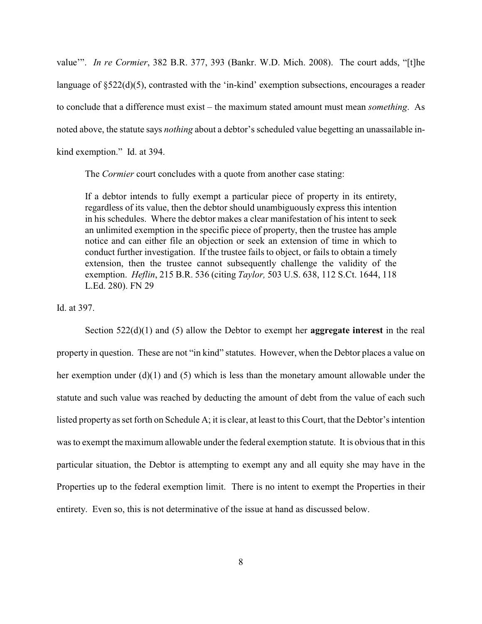value'". *In re Cormier*, 382 B.R. 377, 393 (Bankr. W.D. Mich. 2008). The court adds, "[t]he language of §522(d)(5), contrasted with the 'in-kind' exemption subsections, encourages a reader to conclude that a difference must exist – the maximum stated amount must mean *something*. As noted above, the statute says *nothing* about a debtor's scheduled value begetting an unassailable inkind exemption." Id. at 394.

The *Cormier* court concludes with a quote from another case stating:

If a debtor intends to fully exempt a particular piece of property in its entirety, regardless of its value, then the debtor should unambiguously express this intention in his schedules. Where the debtor makes a clear manifestation of his intent to seek an unlimited exemption in the specific piece of property, then the trustee has ample notice and can either file an objection or seek an extension of time in which to conduct further investigation. If the trustee fails to object, or fails to obtain a timely extension, then the trustee cannot subsequently challenge the validity of the exemption. *Heflin*, 215 B.R. 536 (citing *Taylor,* 503 U.S. 638, 112 S.Ct. 1644, 118 L.Ed. 280). FN 29

Id. at 397.

Section 522(d)(1) and (5) allow the Debtor to exempt her **aggregate interest** in the real property in question. These are not "in kind" statutes. However, when the Debtor places a value on her exemption under (d)(1) and (5) which is less than the monetary amount allowable under the statute and such value was reached by deducting the amount of debt from the value of each such listed property as set forth on Schedule A; it is clear, at least to this Court, that the Debtor's intention was to exempt the maximum allowable under the federal exemption statute. It is obvious that in this particular situation, the Debtor is attempting to exempt any and all equity she may have in the Properties up to the federal exemption limit. There is no intent to exempt the Properties in their entirety. Even so, this is not determinative of the issue at hand as discussed below.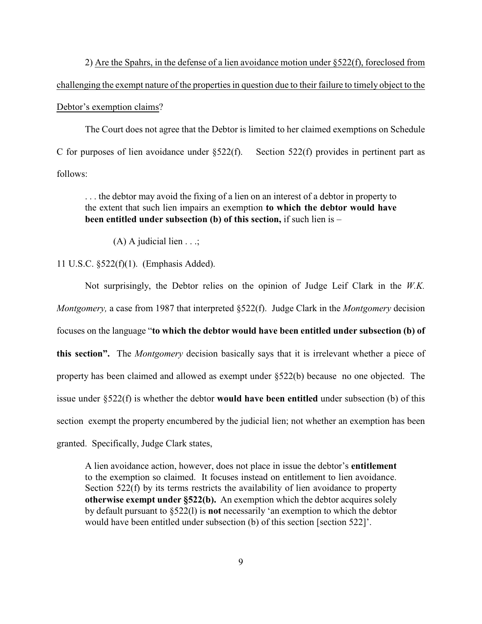2) Are the Spahrs, in the defense of a lien avoidance motion under §522(f), foreclosed from challenging the exempt nature of the properties in question due to their failure to timely object to the Debtor's exemption claims?

The Court does not agree that the Debtor is limited to her claimed exemptions on Schedule C for purposes of lien avoidance under  $\S 522(f)$ . Section 522(f) provides in pertinent part as follows:

. . . the debtor may avoid the fixing of a lien on an interest of a debtor in property to the extent that such lien impairs an exemption **to which the debtor would have been entitled under subsection (b) of this section,** if such lien is –

(A) A judicial lien . . .;

## 11 U.S.C. §522(f)(1). (Emphasis Added).

Not surprisingly, the Debtor relies on the opinion of Judge Leif Clark in the *W.K. Montgomery,* a case from 1987 that interpreted §522(f). Judge Clark in the *Montgomery* decision focuses on the language "**to which the debtor would have been entitled under subsection (b) of this section".** The *Montgomery* decision basically says that it is irrelevant whether a piece of property has been claimed and allowed as exempt under §522(b) because no one objected. The issue under §522(f) is whether the debtor **would have been entitled** under subsection (b) of this section exempt the property encumbered by the judicial lien; not whether an exemption has been granted. Specifically, Judge Clark states,

A lien avoidance action, however, does not place in issue the debtor's **entitlement** to the exemption so claimed. It focuses instead on entitlement to lien avoidance. Section 522(f) by its terms restricts the availability of lien avoidance to property **otherwise exempt under §522(b).** An exemption which the debtor acquires solely by default pursuant to §522(l) is **not** necessarily 'an exemption to which the debtor would have been entitled under subsection (b) of this section [section 522]'.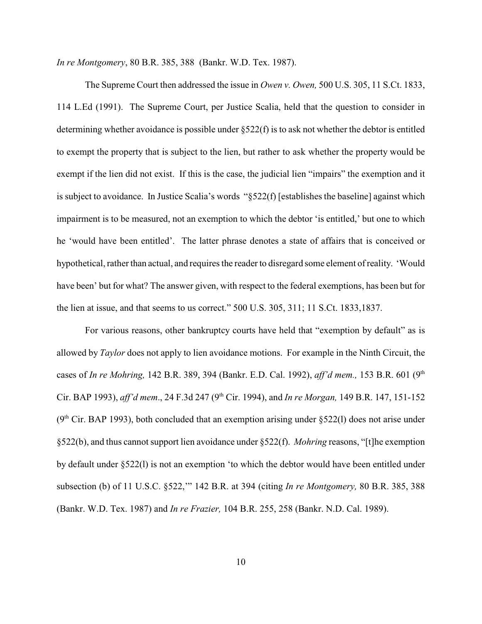*In re Montgomery*, 80 B.R. 385, 388 (Bankr. W.D. Tex. 1987).

The Supreme Court then addressed the issue in *Owen v. Owen,* 500 U.S. 305, 11 S.Ct. 1833, 114 L.Ed (1991). The Supreme Court, per Justice Scalia, held that the question to consider in determining whether avoidance is possible under §522(f) is to ask not whether the debtor is entitled to exempt the property that is subject to the lien, but rather to ask whether the property would be exempt if the lien did not exist. If this is the case, the judicial lien "impairs" the exemption and it is subject to avoidance. In Justice Scalia's words "§522(f) [establishes the baseline] against which impairment is to be measured, not an exemption to which the debtor 'is entitled,' but one to which he 'would have been entitled'. The latter phrase denotes a state of affairs that is conceived or hypothetical, rather than actual, and requires the reader to disregard some element of reality. 'Would have been' but for what? The answer given, with respect to the federal exemptions, has been but for the lien at issue, and that seems to us correct." 500 U.S. 305, 311; 11 S.Ct. 1833,1837.

For various reasons, other bankruptcy courts have held that "exemption by default" as is allowed by *Taylor* does not apply to lien avoidance motions. For example in the Ninth Circuit, the cases of *In re Mohring,* 142 B.R. 389, 394 (Bankr. E.D. Cal. 1992), *aff'd mem.,* 153 B.R. 601 (9th Cir. BAP 1993), *aff'd mem.*, 24 F.3d 247 (9<sup>th</sup> Cir. 1994), and *In re Morgan*, 149 B.R. 147, 151-152  $(9<sup>th</sup> Cir. BAP 1993)$ , both concluded that an exemption arising under §522(1) does not arise under §522(b), and thus cannot support lien avoidance under §522(f). *Mohring* reasons, "[t]he exemption by default under §522(l) is not an exemption 'to which the debtor would have been entitled under subsection (b) of 11 U.S.C. §522,'" 142 B.R. at 394 (citing *In re Montgomery,* 80 B.R. 385, 388 (Bankr. W.D. Tex. 1987) and *In re Frazier,* 104 B.R. 255, 258 (Bankr. N.D. Cal. 1989).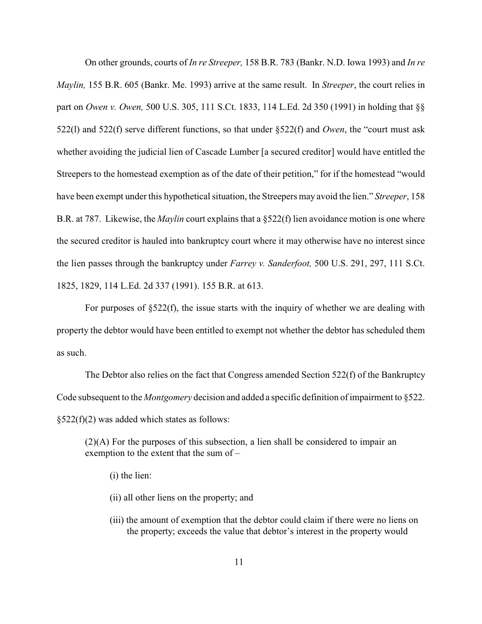On other grounds, courts of *In re Streeper,* 158 B.R. 783 (Bankr. N.D. Iowa 1993) and *In re Maylin,* 155 B.R. 605 (Bankr. Me. 1993) arrive at the same result. In *Streeper*, the court relies in part on *Owen v. Owen,* 500 U.S. 305, 111 S.Ct. 1833, 114 L.Ed. 2d 350 (1991) in holding that §§ 522(l) and 522(f) serve different functions, so that under §522(f) and *Owen*, the "court must ask whether avoiding the judicial lien of Cascade Lumber [a secured creditor] would have entitled the Streepers to the homestead exemption as of the date of their petition," for if the homestead "would" have been exempt under this hypothetical situation, the Streepers may avoid the lien." *Streeper*, 158 B.R. at 787. Likewise, the *Maylin* court explains that a §522(f) lien avoidance motion is one where the secured creditor is hauled into bankruptcy court where it may otherwise have no interest since the lien passes through the bankruptcy under *Farrey v. Sanderfoot,* 500 U.S. 291, 297, 111 S.Ct. 1825, 1829, 114 L.Ed. 2d 337 (1991). 155 B.R. at 613.

For purposes of §522(f), the issue starts with the inquiry of whether we are dealing with property the debtor would have been entitled to exempt not whether the debtor has scheduled them as such.

The Debtor also relies on the fact that Congress amended Section 522(f) of the Bankruptcy Code subsequent to the *Montgomery* decision and added a specific definition of impairment to §522. §522(f)(2) was added which states as follows:

(2)(A) For the purposes of this subsection, a lien shall be considered to impair an exemption to the extent that the sum of –

(i) the lien:

(ii) all other liens on the property; and

(iii) the amount of exemption that the debtor could claim if there were no liens on the property; exceeds the value that debtor's interest in the property would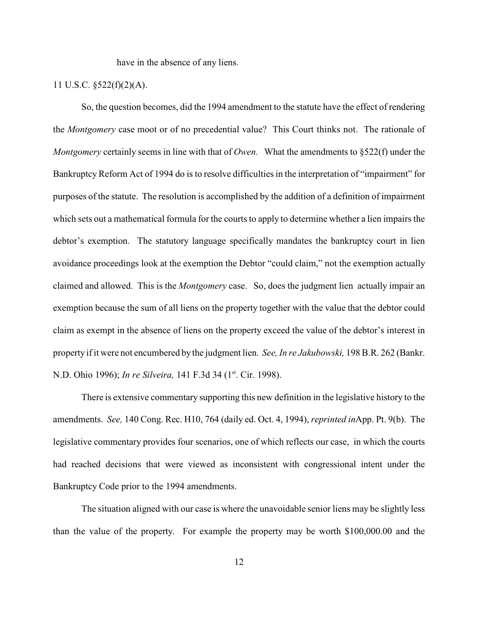have in the absence of any liens.

# 11 U.S.C. §522(f)(2)(A).

So, the question becomes, did the 1994 amendment to the statute have the effect of rendering the *Montgomery* case moot or of no precedential value? This Court thinks not. The rationale of *Montgomery* certainly seems in line with that of *Owen.* What the amendments to §522(f) under the Bankruptcy Reform Act of 1994 do is to resolve difficulties in the interpretation of "impairment" for purposes of the statute. The resolution is accomplished by the addition of a definition of impairment which sets out a mathematical formula for the courts to apply to determine whether a lien impairs the debtor's exemption. The statutory language specifically mandates the bankruptcy court in lien avoidance proceedings look at the exemption the Debtor "could claim," not the exemption actually claimed and allowed. This is the *Montgomery* case. So, does the judgment lien actually impair an exemption because the sum of all liens on the property together with the value that the debtor could claim as exempt in the absence of liens on the property exceed the value of the debtor's interest in property if it were not encumbered by the judgment lien. *See, In re Jakubowski,* 198 B.R. 262 (Bankr. N.D. Ohio 1996); *In re Silveira*, 141 F.3d 34 (1<sup>st</sup>. Cir. 1998).

There is extensive commentary supporting this new definition in the legislative history to the amendments. *See,* 140 Cong. Rec. H10, 764 (daily ed. Oct. 4, 1994), *reprinted in*App. Pt. 9(b). The legislative commentary provides four scenarios, one of which reflects our case, in which the courts had reached decisions that were viewed as inconsistent with congressional intent under the Bankruptcy Code prior to the 1994 amendments.

The situation aligned with our case is where the unavoidable senior liens may be slightly less than the value of the property. For example the property may be worth \$100,000.00 and the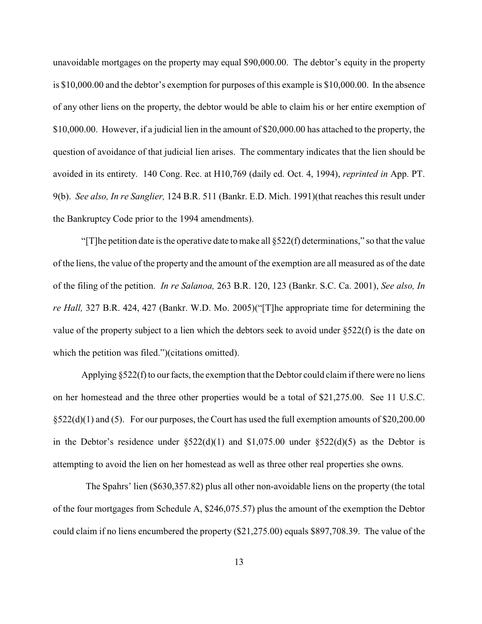unavoidable mortgages on the property may equal \$90,000.00. The debtor's equity in the property is \$10,000.00 and the debtor's exemption for purposes of this example is \$10,000.00. In the absence of any other liens on the property, the debtor would be able to claim his or her entire exemption of \$10,000.00. However, if a judicial lien in the amount of \$20,000.00 has attached to the property, the question of avoidance of that judicial lien arises. The commentary indicates that the lien should be avoided in its entirety. 140 Cong. Rec. at H10,769 (daily ed. Oct. 4, 1994), *reprinted in* App. PT. 9(b). *See also, In re Sanglier,* 124 B.R. 511 (Bankr. E.D. Mich. 1991)(that reaches this result under the Bankruptcy Code prior to the 1994 amendments).

"[T]he petition date is the operative date to make all  $\S522(f)$  determinations," so that the value of the liens, the value of the property and the amount of the exemption are all measured as of the date of the filing of the petition. *In re Salanoa,* 263 B.R. 120, 123 (Bankr. S.C. Ca. 2001), *See also, In re Hall,* 327 B.R. 424, 427 (Bankr. W.D. Mo. 2005)("[T]he appropriate time for determining the value of the property subject to a lien which the debtors seek to avoid under §522(f) is the date on which the petition was filed.")(citations omitted).

Applying  $\S 522(f)$  to our facts, the exemption that the Debtor could claim if there were no liens on her homestead and the three other properties would be a total of \$21,275.00. See 11 U.S.C. §522(d)(1) and (5). For our purposes, the Court has used the full exemption amounts of \$20,200.00 in the Debtor's residence under  $\S522(d)(1)$  and  $\S1,075.00$  under  $\S522(d)(5)$  as the Debtor is attempting to avoid the lien on her homestead as well as three other real properties she owns.

The Spahrs' lien (\$630,357.82) plus all other non-avoidable liens on the property (the total of the four mortgages from Schedule A, \$246,075.57) plus the amount of the exemption the Debtor could claim if no liens encumbered the property (\$21,275.00) equals \$897,708.39. The value of the